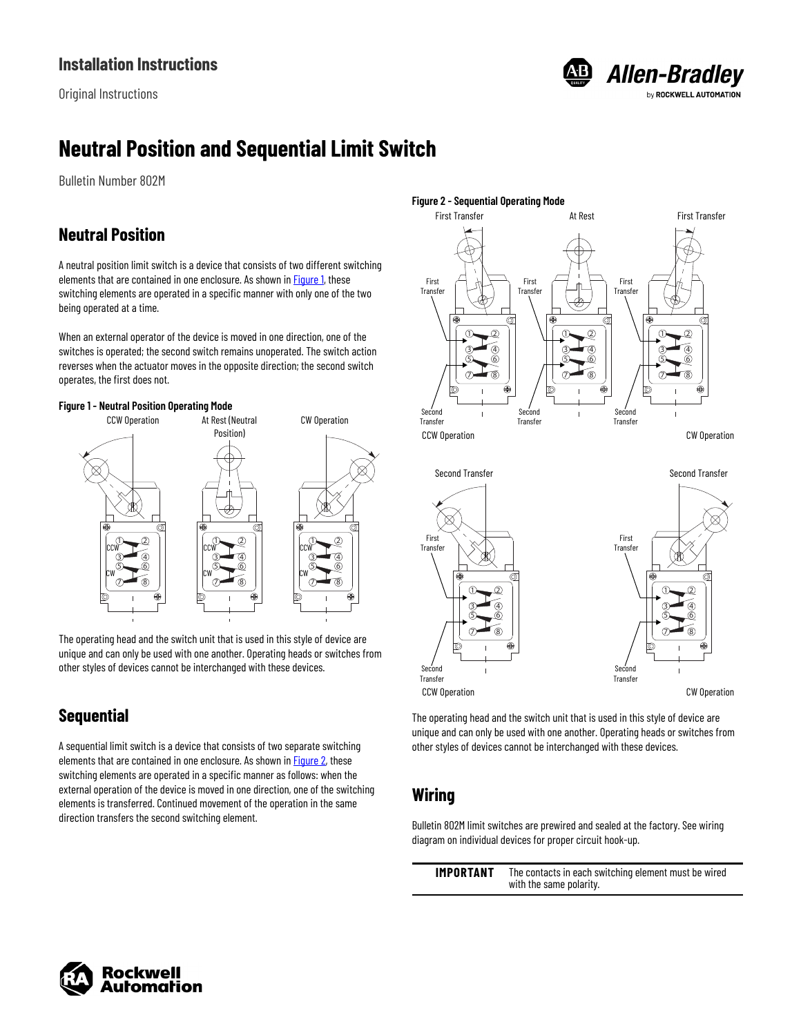Original Instructions



# **Neutral Position and Sequential Limit Switch**

Bulletin Number 802M

### **Neutral Position**

A neutral position limit switch is a device that consists of two different switching elements that are contained in one enclosure. As shown in [Figure 1,](#page-0-0) these switching elements are operated in a specific manner with only one of the two being operated at a time.

When an external operator of the device is moved in one direction, one of the switches is operated; the second switch remains unoperated. The switch action reverses when the actuator moves in the opposite direction; the second switch operates, the first does not.

<span id="page-0-0"></span>



The operating head and the switch unit that is used in this style of device are unique and can only be used with one another. Operating heads or switches from other styles of devices cannot be interchanged with these devices.

# **Sequential**

A sequential limit switch is a device that consists of two separate switching elements that are contained in one enclosure. As shown in **Figure 2**, these switching elements are operated in a specific manner as follows: when the external operation of the device is moved in one direction, one of the switching elements is transferred. Continued movement of the operation in the same direction transfers the second switching element.

<span id="page-0-1"></span>



The operating head and the switch unit that is used in this style of device are unique and can only be used with one another. Operating heads or switches from other styles of devices cannot be interchanged with these devices.

# **Wiring**

Bulletin 802M limit switches are prewired and sealed at the factory. See wiring diagram on individual devices for proper circuit hook-up.

**IMPORTANT** The contacts in each switching element must be wired with the same polarity.